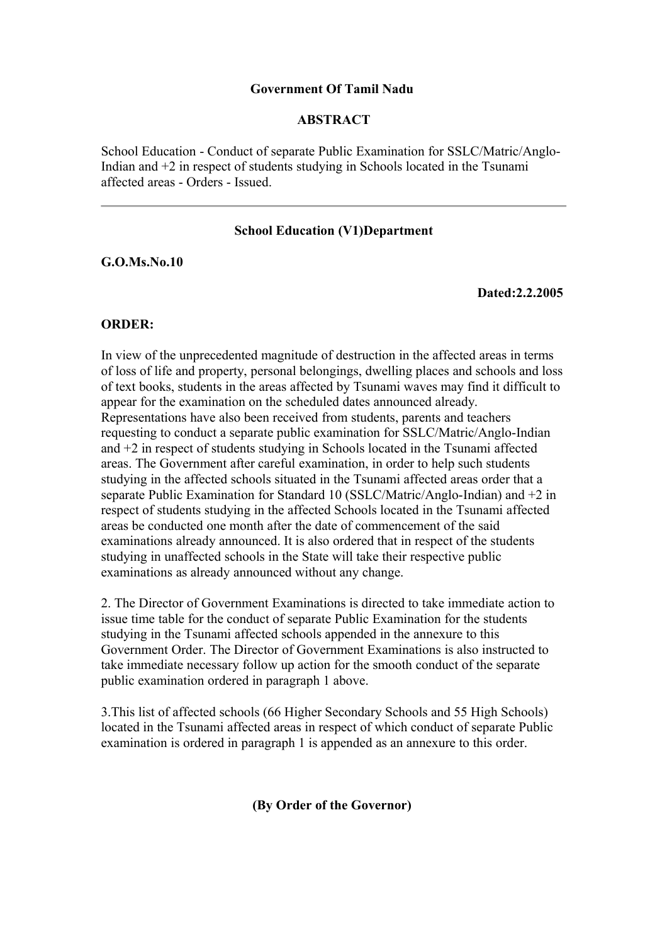## **Government Of Tamil Nadu**

## **ABSTRACT**

School Education - Conduct of separate Public Examination for SSLC/Matric/Anglo-Indian and +2 in respect of students studying in Schools located in the Tsunami affected areas - Orders - Issued.

# **School Education (V1)Department**

**G.O.Ms.No.10**

**Dated:2.2.2005** 

### **ORDER:**

In view of the unprecedented magnitude of destruction in the affected areas in terms of loss of life and property, personal belongings, dwelling places and schools and loss of text books, students in the areas affected by Tsunami waves may find it difficult to appear for the examination on the scheduled dates announced already. Representations have also been received from students, parents and teachers requesting to conduct a separate public examination for SSLC/Matric/Anglo-Indian and +2 in respect of students studying in Schools located in the Tsunami affected areas. The Government after careful examination, in order to help such students studying in the affected schools situated in the Tsunami affected areas order that a separate Public Examination for Standard 10 (SSLC/Matric/Anglo-Indian) and +2 in respect of students studying in the affected Schools located in the Tsunami affected areas be conducted one month after the date of commencement of the said examinations already announced. It is also ordered that in respect of the students studying in unaffected schools in the State will take their respective public examinations as already announced without any change.

2. The Director of Government Examinations is directed to take immediate action to issue time table for the conduct of separate Public Examination for the students studying in the Tsunami affected schools appended in the annexure to this Government Order. The Director of Government Examinations is also instructed to take immediate necessary follow up action for the smooth conduct of the separate public examination ordered in paragraph 1 above.

3.This list of affected schools (66 Higher Secondary Schools and 55 High Schools) located in the Tsunami affected areas in respect of which conduct of separate Public examination is ordered in paragraph 1 is appended as an annexure to this order.

**(By Order of the Governor)**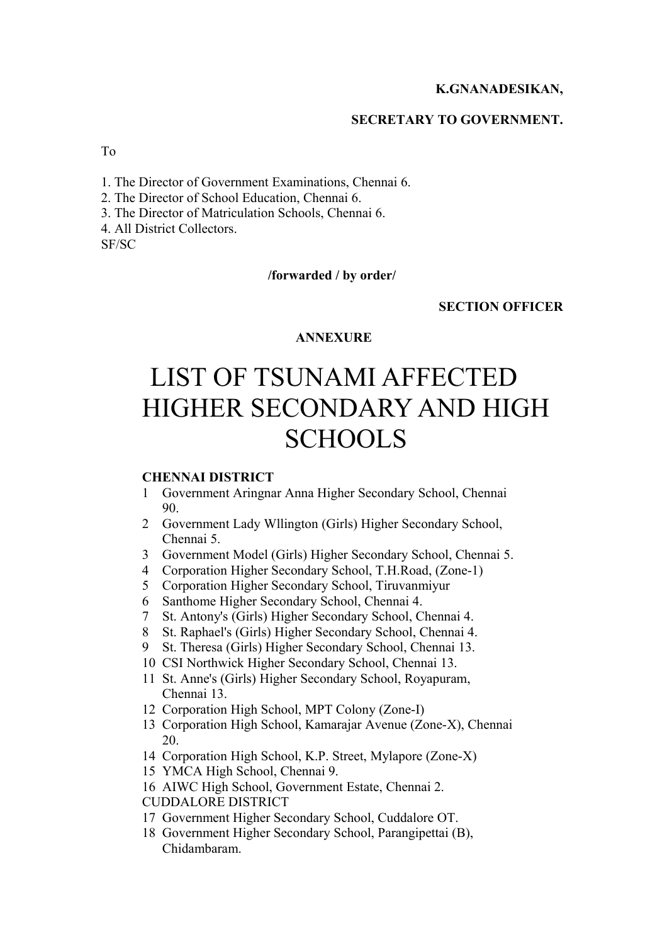# **K.GNANADESIKAN,**

#### **SECRETARY TO GOVERNMENT.**

To

- 1. The Director of Government Examinations, Chennai 6.
- 2. The Director of School Education, Chennai 6.
- 3. The Director of Matriculation Schools, Chennai 6.
- 4. All District Collectors.

SF/SC

#### **/forwarded / by order/**

# **SECTION OFFICER**

#### **ANNEXURE**

# LIST OF TSUNAMI AFFECTED HIGHER SECONDARY AND HIGH **SCHOOLS**

#### **CHENNAI DISTRICT**

- 1 Government Aringnar Anna Higher Secondary School, Chennai 90.
- 2 Government Lady Wllington (Girls) Higher Secondary School, Chennai 5.
- 3 Government Model (Girls) Higher Secondary School, Chennai 5.
- 4 Corporation Higher Secondary School, T.H.Road, (Zone-1)
- 5 Corporation Higher Secondary School, Tiruvanmiyur
- 6 Santhome Higher Secondary School, Chennai 4.
- 7 St. Antony's (Girls) Higher Secondary School, Chennai 4.
- 8 St. Raphael's (Girls) Higher Secondary School, Chennai 4.
- 9 St. Theresa (Girls) Higher Secondary School, Chennai 13.
- 10 CSI Northwick Higher Secondary School, Chennai 13.
- 11 St. Anne's (Girls) Higher Secondary School, Royapuram, Chennai 13.
- 12 Corporation High School, MPT Colony (Zone-I)
- 13 Corporation High School, Kamarajar Avenue (Zone-X), Chennai 20.
- 14 Corporation High School, K.P. Street, Mylapore (Zone-X)
- 15 YMCA High School, Chennai 9.
- 16 AIWC High School, Government Estate, Chennai 2.
- CUDDALORE DISTRICT
- 17 Government Higher Secondary School, Cuddalore OT.
- 18 Government Higher Secondary School, Parangipettai (B), Chidambaram.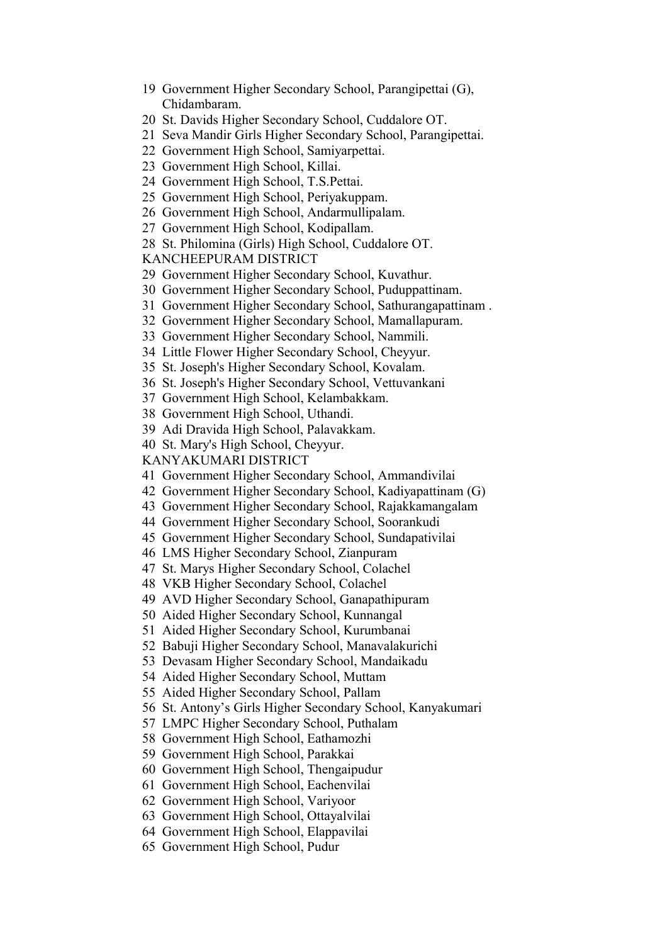- Government Higher Secondary School, Parangipettai (G), Chidambaram.
- St. Davids Higher Secondary School, Cuddalore OT.
- Seva Mandir Girls Higher Secondary School, Parangipettai.
- Government High School, Samiyarpettai.
- Government High School, Killai.
- Government High School, T.S.Pettai.
- Government High School, Periyakuppam.
- Government High School, Andarmullipalam.
- Government High School, Kodipallam.
- St. Philomina (Girls) High School, Cuddalore OT.

KANCHEEPURAM DISTRICT

- Government Higher Secondary School, Kuvathur.
- Government Higher Secondary School, Puduppattinam.
- Government Higher Secondary School, Sathurangapattinam .
- Government Higher Secondary School, Mamallapuram.
- Government Higher Secondary School, Nammili.
- Little Flower Higher Secondary School, Cheyyur.
- St. Joseph's Higher Secondary School, Kovalam.
- St. Joseph's Higher Secondary School, Vettuvankani
- Government High School, Kelambakkam.
- Government High School, Uthandi.
- Adi Dravida High School, Palavakkam.
- St. Mary's High School, Cheyyur.

KANYAKUMARI DISTRICT

- Government Higher Secondary School, Ammandivilai
- Government Higher Secondary School, Kadiyapattinam (G)
- Government Higher Secondary School, Rajakkamangalam
- Government Higher Secondary School, Soorankudi
- Government Higher Secondary School, Sundapativilai
- LMS Higher Secondary School, Zianpuram
- St. Marys Higher Secondary School, Colachel
- VKB Higher Secondary School, Colachel
- AVD Higher Secondary School, Ganapathipuram
- Aided Higher Secondary School, Kunnangal
- Aided Higher Secondary School, Kurumbanai
- Babuji Higher Secondary School, Manavalakurichi
- Devasam Higher Secondary School, Mandaikadu
- Aided Higher Secondary School, Muttam
- Aided Higher Secondary School, Pallam
- St. Antony's Girls Higher Secondary School, Kanyakumari
- LMPC Higher Secondary School, Puthalam
- Government High School, Eathamozhi
- Government High School, Parakkai
- Government High School, Thengaipudur
- Government High School, Eachenvilai
- Government High School, Variyoor
- Government High School, Ottayalvilai
- Government High School, Elappavilai
- Government High School, Pudur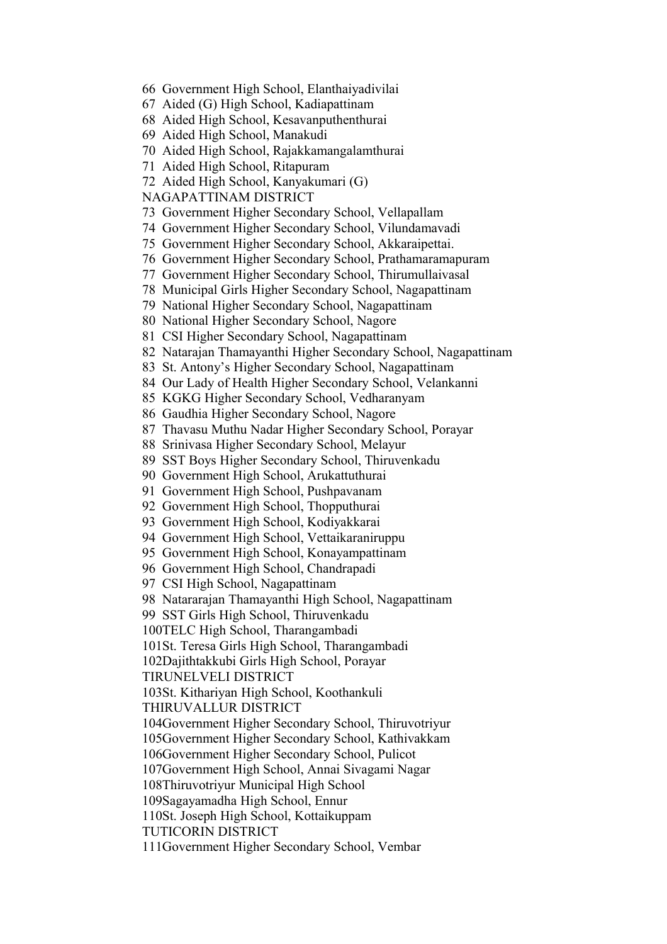- Government High School, Elanthaiyadivilai
- Aided (G) High School, Kadiapattinam
- Aided High School, Kesavanputhenthurai
- Aided High School, Manakudi
- Aided High School, Rajakkamangalamthurai
- Aided High School, Ritapuram
- Aided High School, Kanyakumari (G)

NAGAPATTINAM DISTRICT

- Government Higher Secondary School, Vellapallam
- Government Higher Secondary School, Vilundamavadi
- Government Higher Secondary School, Akkaraipettai.
- Government Higher Secondary School, Prathamaramapuram
- Government Higher Secondary School, Thirumullaivasal
- 78 Municipal Girls Higher Secondary School, Nagapattinam
- National Higher Secondary School, Nagapattinam
- National Higher Secondary School, Nagore
- CSI Higher Secondary School, Nagapattinam
- Natarajan Thamayanthi Higher Secondary School, Nagapattinam
- St. Antony's Higher Secondary School, Nagapattinam
- Our Lady of Health Higher Secondary School, Velankanni
- KGKG Higher Secondary School, Vedharanyam
- Gaudhia Higher Secondary School, Nagore
- Thavasu Muthu Nadar Higher Secondary School, Porayar
- Srinivasa Higher Secondary School, Melayur
- SST Boys Higher Secondary School, Thiruvenkadu
- Government High School, Arukattuthurai
- Government High School, Pushpavanam
- Government High School, Thopputhurai
- Government High School, Kodiyakkarai
- Government High School, Vettaikaraniruppu
- Government High School, Konayampattinam
- Government High School, Chandrapadi
- CSI High School, Nagapattinam
- Natararajan Thamayanthi High School, Nagapattinam
- SST Girls High School, Thiruvenkadu
- 100TELC High School, Tharangambadi
- 101St. Teresa Girls High School, Tharangambadi

102Dajithtakkubi Girls High School, Porayar

TIRUNELVELI DISTRICT

103St. Kithariyan High School, Koothankuli

THIRUVALLUR DISTRICT

- 104Government Higher Secondary School, Thiruvotriyur
- 105Government Higher Secondary School, Kathivakkam
- 106Government Higher Secondary School, Pulicot

107Government High School, Annai Sivagami Nagar

- 108Thiruvotriyur Municipal High School
- 109Sagayamadha High School, Ennur

110St. Joseph High School, Kottaikuppam

TUTICORIN DISTRICT

111Government Higher Secondary School, Vembar